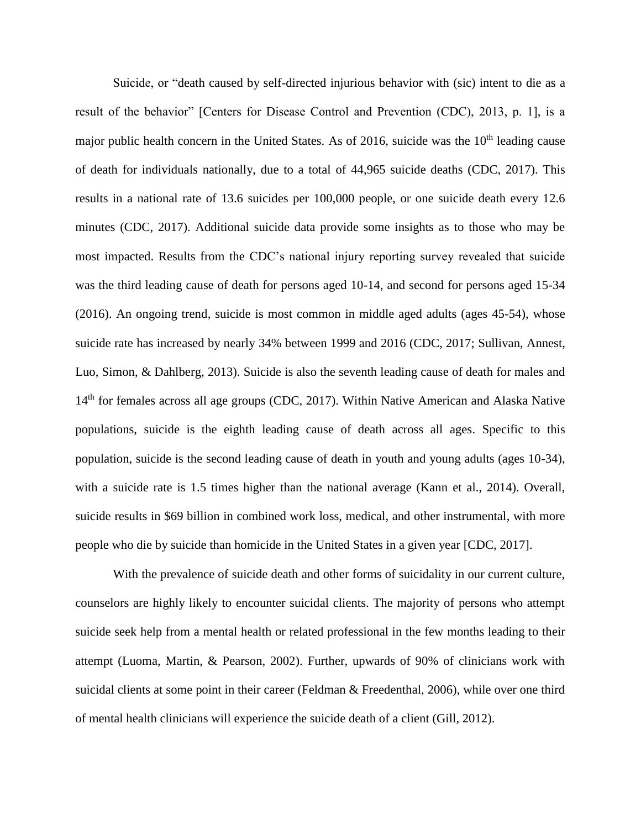Suicide, or "death caused by self-directed injurious behavior with (sic) intent to die as a result of the behavior" [Centers for Disease Control and Prevention (CDC), 2013, p. 1], is a major public health concern in the United States. As of 2016, suicide was the  $10<sup>th</sup>$  leading cause of death for individuals nationally, due to a total of 44,965 suicide deaths (CDC, 2017). This results in a national rate of 13.6 suicides per 100,000 people, or one suicide death every 12.6 minutes (CDC, 2017). Additional suicide data provide some insights as to those who may be most impacted. Results from the CDC's national injury reporting survey revealed that suicide was the third leading cause of death for persons aged 10-14, and second for persons aged 15-34 (2016). An ongoing trend, suicide is most common in middle aged adults (ages 45-54), whose suicide rate has increased by nearly 34% between 1999 and 2016 (CDC, 2017; Sullivan, Annest, Luo, Simon, & Dahlberg, 2013). Suicide is also the seventh leading cause of death for males and 14<sup>th</sup> for females across all age groups (CDC, 2017). Within Native American and Alaska Native populations, suicide is the eighth leading cause of death across all ages. Specific to this population, suicide is the second leading cause of death in youth and young adults (ages 10-34), with a suicide rate is 1.5 times higher than the national average (Kann et al., 2014). Overall, suicide results in \$69 billion in combined work loss, medical, and other instrumental, with more people who die by suicide than homicide in the United States in a given year [CDC, 2017].

With the prevalence of suicide death and other forms of suicidality in our current culture, counselors are highly likely to encounter suicidal clients. The majority of persons who attempt suicide seek help from a mental health or related professional in the few months leading to their attempt (Luoma, Martin, & Pearson, 2002). Further, upwards of 90% of clinicians work with suicidal clients at some point in their career (Feldman & Freedenthal, 2006), while over one third of mental health clinicians will experience the suicide death of a client (Gill, 2012).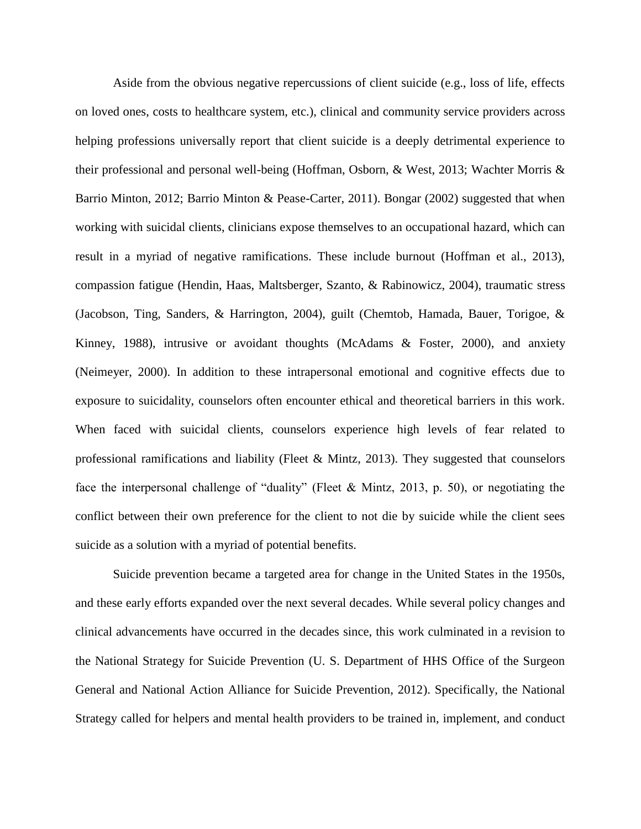Aside from the obvious negative repercussions of client suicide (e.g., loss of life, effects on loved ones, costs to healthcare system, etc.), clinical and community service providers across helping professions universally report that client suicide is a deeply detrimental experience to their professional and personal well-being (Hoffman, Osborn, & West, 2013; Wachter Morris & Barrio Minton, 2012; Barrio Minton & Pease-Carter, 2011). Bongar (2002) suggested that when working with suicidal clients, clinicians expose themselves to an occupational hazard, which can result in a myriad of negative ramifications. These include burnout (Hoffman et al., 2013), compassion fatigue (Hendin, Haas, Maltsberger, Szanto, & Rabinowicz, 2004), traumatic stress (Jacobson, Ting, Sanders, & Harrington, 2004), guilt (Chemtob, Hamada, Bauer, Torigoe, & Kinney, 1988), intrusive or avoidant thoughts (McAdams & Foster, 2000), and anxiety (Neimeyer, 2000). In addition to these intrapersonal emotional and cognitive effects due to exposure to suicidality, counselors often encounter ethical and theoretical barriers in this work. When faced with suicidal clients, counselors experience high levels of fear related to professional ramifications and liability (Fleet & Mintz, 2013). They suggested that counselors face the interpersonal challenge of "duality" (Fleet & Mintz, 2013, p. 50), or negotiating the conflict between their own preference for the client to not die by suicide while the client sees suicide as a solution with a myriad of potential benefits.

Suicide prevention became a targeted area for change in the United States in the 1950s, and these early efforts expanded over the next several decades. While several policy changes and clinical advancements have occurred in the decades since, this work culminated in a revision to the National Strategy for Suicide Prevention (U. S. Department of HHS Office of the Surgeon General and National Action Alliance for Suicide Prevention, 2012). Specifically, the National Strategy called for helpers and mental health providers to be trained in, implement, and conduct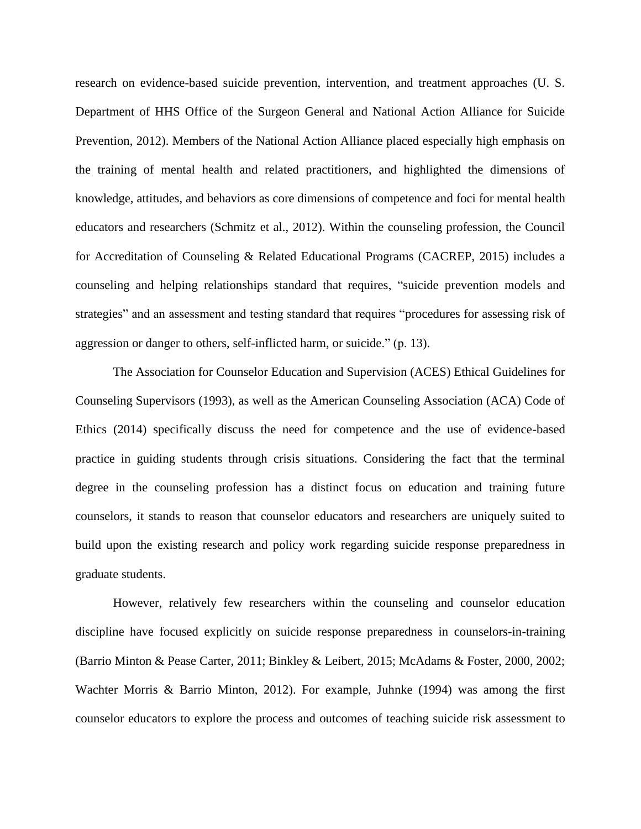research on evidence-based suicide prevention, intervention, and treatment approaches (U. S. Department of HHS Office of the Surgeon General and National Action Alliance for Suicide Prevention, 2012). Members of the National Action Alliance placed especially high emphasis on the training of mental health and related practitioners, and highlighted the dimensions of knowledge, attitudes, and behaviors as core dimensions of competence and foci for mental health educators and researchers (Schmitz et al., 2012). Within the counseling profession, the Council for Accreditation of Counseling & Related Educational Programs (CACREP, 2015) includes a counseling and helping relationships standard that requires, "suicide prevention models and strategies" and an assessment and testing standard that requires "procedures for assessing risk of aggression or danger to others, self-inflicted harm, or suicide." (p. 13).

The Association for Counselor Education and Supervision (ACES) Ethical Guidelines for Counseling Supervisors (1993), as well as the American Counseling Association (ACA) Code of Ethics (2014) specifically discuss the need for competence and the use of evidence-based practice in guiding students through crisis situations. Considering the fact that the terminal degree in the counseling profession has a distinct focus on education and training future counselors, it stands to reason that counselor educators and researchers are uniquely suited to build upon the existing research and policy work regarding suicide response preparedness in graduate students.

However, relatively few researchers within the counseling and counselor education discipline have focused explicitly on suicide response preparedness in counselors-in-training (Barrio Minton & Pease Carter, 2011; Binkley & Leibert, 2015; McAdams & Foster, 2000, 2002; Wachter Morris & Barrio Minton, 2012). For example, Juhnke (1994) was among the first counselor educators to explore the process and outcomes of teaching suicide risk assessment to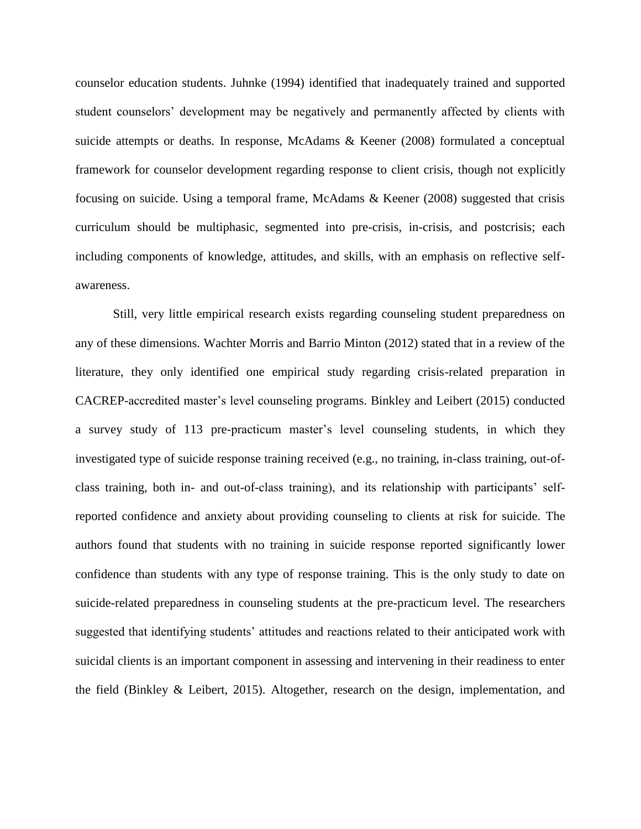counselor education students. Juhnke (1994) identified that inadequately trained and supported student counselors' development may be negatively and permanently affected by clients with suicide attempts or deaths. In response, McAdams & Keener (2008) formulated a conceptual framework for counselor development regarding response to client crisis, though not explicitly focusing on suicide. Using a temporal frame, McAdams & Keener (2008) suggested that crisis curriculum should be multiphasic, segmented into pre-crisis, in-crisis, and postcrisis; each including components of knowledge, attitudes, and skills, with an emphasis on reflective selfawareness.

Still, very little empirical research exists regarding counseling student preparedness on any of these dimensions. Wachter Morris and Barrio Minton (2012) stated that in a review of the literature, they only identified one empirical study regarding crisis-related preparation in CACREP-accredited master's level counseling programs. Binkley and Leibert (2015) conducted a survey study of 113 pre-practicum master's level counseling students, in which they investigated type of suicide response training received (e.g., no training, in-class training, out-ofclass training, both in- and out-of-class training), and its relationship with participants' selfreported confidence and anxiety about providing counseling to clients at risk for suicide. The authors found that students with no training in suicide response reported significantly lower confidence than students with any type of response training. This is the only study to date on suicide-related preparedness in counseling students at the pre-practicum level. The researchers suggested that identifying students' attitudes and reactions related to their anticipated work with suicidal clients is an important component in assessing and intervening in their readiness to enter the field (Binkley & Leibert, 2015). Altogether, research on the design, implementation, and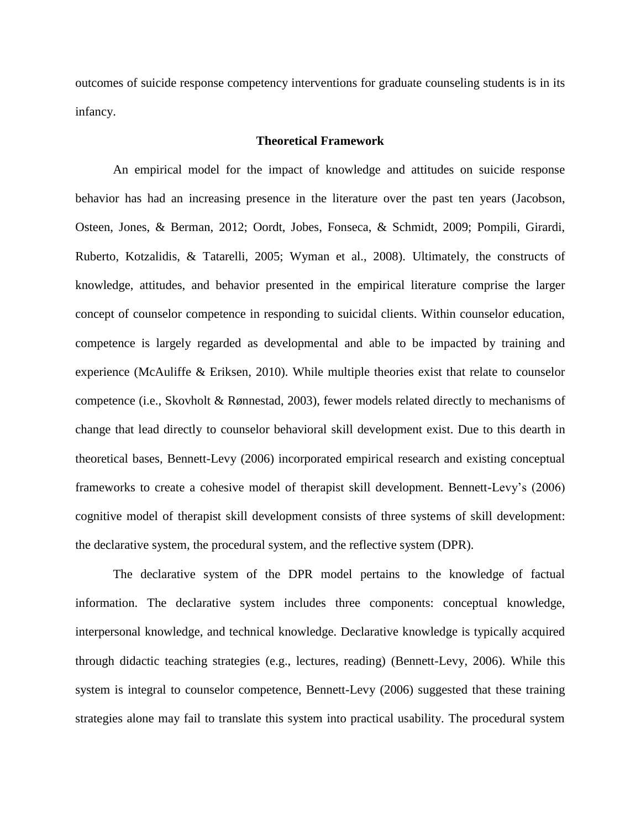outcomes of suicide response competency interventions for graduate counseling students is in its infancy.

## **Theoretical Framework**

An empirical model for the impact of knowledge and attitudes on suicide response behavior has had an increasing presence in the literature over the past ten years (Jacobson, Osteen, Jones, & Berman, 2012; Oordt, Jobes, Fonseca, & Schmidt, 2009; Pompili, Girardi, Ruberto, Kotzalidis, & Tatarelli, 2005; Wyman et al., 2008). Ultimately, the constructs of knowledge, attitudes, and behavior presented in the empirical literature comprise the larger concept of counselor competence in responding to suicidal clients. Within counselor education, competence is largely regarded as developmental and able to be impacted by training and experience (McAuliffe & Eriksen, 2010). While multiple theories exist that relate to counselor competence (i.e., Skovholt & Rønnestad, 2003), fewer models related directly to mechanisms of change that lead directly to counselor behavioral skill development exist. Due to this dearth in theoretical bases, Bennett-Levy (2006) incorporated empirical research and existing conceptual frameworks to create a cohesive model of therapist skill development. Bennett-Levy's (2006) cognitive model of therapist skill development consists of three systems of skill development: the declarative system, the procedural system, and the reflective system (DPR).

The declarative system of the DPR model pertains to the knowledge of factual information. The declarative system includes three components: conceptual knowledge, interpersonal knowledge, and technical knowledge. Declarative knowledge is typically acquired through didactic teaching strategies (e.g., lectures, reading) (Bennett-Levy, 2006). While this system is integral to counselor competence, Bennett-Levy (2006) suggested that these training strategies alone may fail to translate this system into practical usability. The procedural system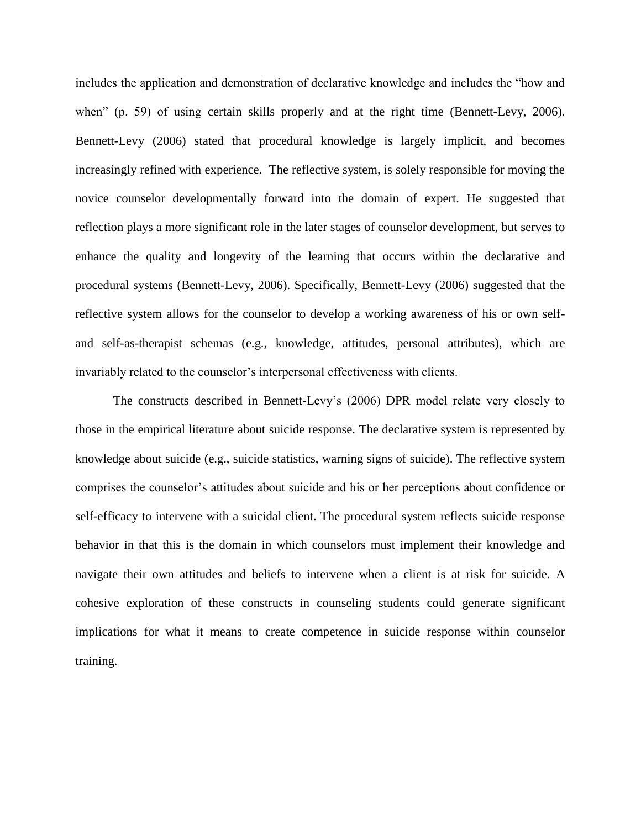includes the application and demonstration of declarative knowledge and includes the "how and when" (p. 59) of using certain skills properly and at the right time (Bennett-Levy, 2006). Bennett-Levy (2006) stated that procedural knowledge is largely implicit, and becomes increasingly refined with experience. The reflective system, is solely responsible for moving the novice counselor developmentally forward into the domain of expert. He suggested that reflection plays a more significant role in the later stages of counselor development, but serves to enhance the quality and longevity of the learning that occurs within the declarative and procedural systems (Bennett-Levy, 2006). Specifically, Bennett-Levy (2006) suggested that the reflective system allows for the counselor to develop a working awareness of his or own selfand self-as-therapist schemas (e.g., knowledge, attitudes, personal attributes), which are invariably related to the counselor's interpersonal effectiveness with clients.

The constructs described in Bennett-Levy's (2006) DPR model relate very closely to those in the empirical literature about suicide response. The declarative system is represented by knowledge about suicide (e.g., suicide statistics, warning signs of suicide). The reflective system comprises the counselor's attitudes about suicide and his or her perceptions about confidence or self-efficacy to intervene with a suicidal client. The procedural system reflects suicide response behavior in that this is the domain in which counselors must implement their knowledge and navigate their own attitudes and beliefs to intervene when a client is at risk for suicide. A cohesive exploration of these constructs in counseling students could generate significant implications for what it means to create competence in suicide response within counselor training.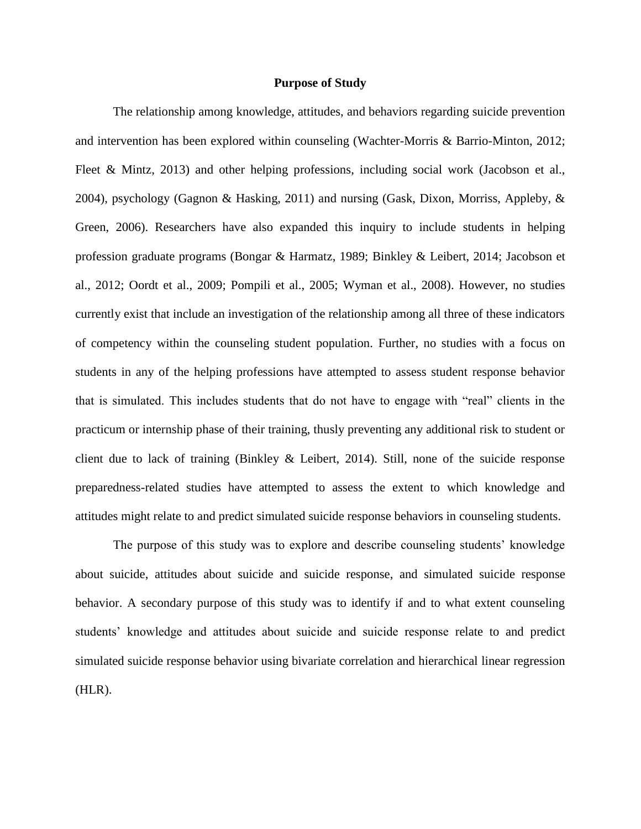#### **Purpose of Study**

The relationship among knowledge, attitudes, and behaviors regarding suicide prevention and intervention has been explored within counseling (Wachter-Morris & Barrio-Minton, 2012; Fleet & Mintz, 2013) and other helping professions, including social work (Jacobson et al., 2004), psychology (Gagnon & Hasking, 2011) and nursing (Gask, Dixon, Morriss, Appleby, & Green, 2006). Researchers have also expanded this inquiry to include students in helping profession graduate programs (Bongar & Harmatz, 1989; Binkley & Leibert, 2014; Jacobson et al., 2012; Oordt et al., 2009; Pompili et al., 2005; Wyman et al., 2008). However, no studies currently exist that include an investigation of the relationship among all three of these indicators of competency within the counseling student population. Further, no studies with a focus on students in any of the helping professions have attempted to assess student response behavior that is simulated. This includes students that do not have to engage with "real" clients in the practicum or internship phase of their training, thusly preventing any additional risk to student or client due to lack of training (Binkley & Leibert, 2014). Still, none of the suicide response preparedness-related studies have attempted to assess the extent to which knowledge and attitudes might relate to and predict simulated suicide response behaviors in counseling students.

The purpose of this study was to explore and describe counseling students' knowledge about suicide, attitudes about suicide and suicide response, and simulated suicide response behavior. A secondary purpose of this study was to identify if and to what extent counseling students' knowledge and attitudes about suicide and suicide response relate to and predict simulated suicide response behavior using bivariate correlation and hierarchical linear regression (HLR).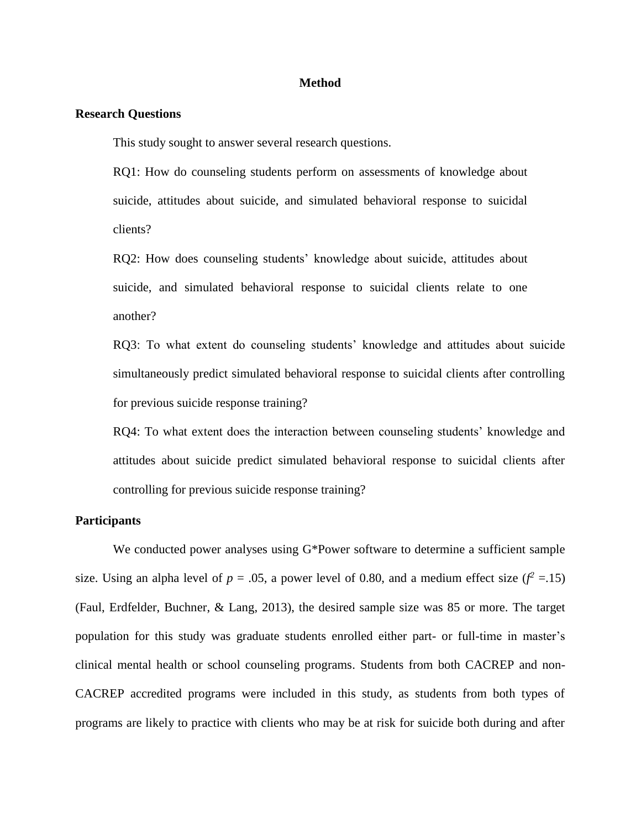### **Method**

### **Research Questions**

This study sought to answer several research questions.

RQ1: How do counseling students perform on assessments of knowledge about suicide, attitudes about suicide, and simulated behavioral response to suicidal clients?

RQ2: How does counseling students' knowledge about suicide, attitudes about suicide, and simulated behavioral response to suicidal clients relate to one another?

RQ3: To what extent do counseling students' knowledge and attitudes about suicide simultaneously predict simulated behavioral response to suicidal clients after controlling for previous suicide response training?

RQ4: To what extent does the interaction between counseling students' knowledge and attitudes about suicide predict simulated behavioral response to suicidal clients after controlling for previous suicide response training?

## **Participants**

We conducted power analyses using G\*Power software to determine a sufficient sample size. Using an alpha level of  $p = .05$ , a power level of 0.80, and a medium effect size ( $f^2 = .15$ ) (Faul, Erdfelder, Buchner, & Lang, 2013), the desired sample size was 85 or more. The target population for this study was graduate students enrolled either part- or full-time in master's clinical mental health or school counseling programs. Students from both CACREP and non-CACREP accredited programs were included in this study, as students from both types of programs are likely to practice with clients who may be at risk for suicide both during and after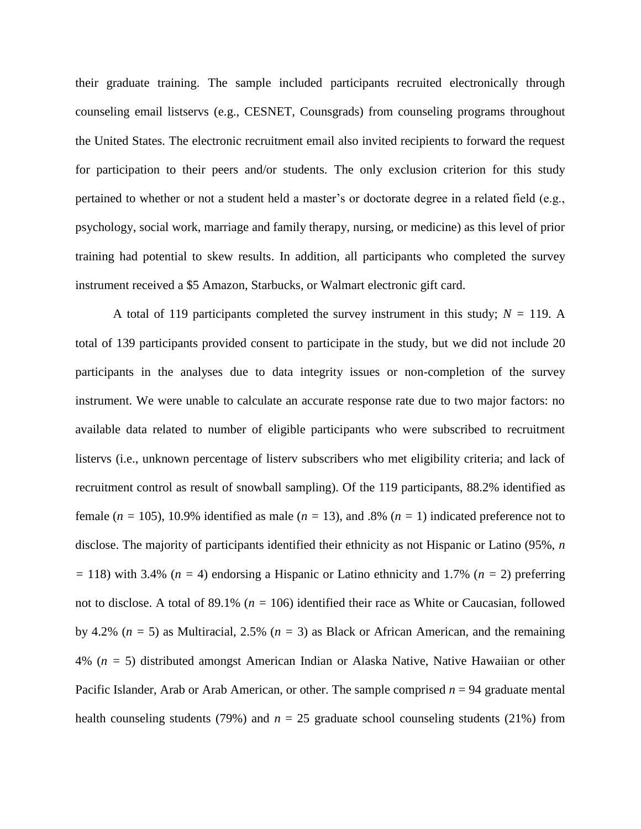their graduate training. The sample included participants recruited electronically through counseling email listservs (e.g., CESNET, Counsgrads) from counseling programs throughout the United States. The electronic recruitment email also invited recipients to forward the request for participation to their peers and/or students. The only exclusion criterion for this study pertained to whether or not a student held a master's or doctorate degree in a related field (e.g., psychology, social work, marriage and family therapy, nursing, or medicine) as this level of prior training had potential to skew results. In addition, all participants who completed the survey instrument received a \$5 Amazon, Starbucks, or Walmart electronic gift card.

A total of 119 participants completed the survey instrument in this study;  $N = 119$ . A total of 139 participants provided consent to participate in the study, but we did not include 20 participants in the analyses due to data integrity issues or non-completion of the survey instrument. We were unable to calculate an accurate response rate due to two major factors: no available data related to number of eligible participants who were subscribed to recruitment listervs (i.e., unknown percentage of listerv subscribers who met eligibility criteria; and lack of recruitment control as result of snowball sampling). Of the 119 participants, 88.2% identified as female (*n =* 105), 10.9% identified as male (*n =* 13), and .8% (*n =* 1) indicated preference not to disclose. The majority of participants identified their ethnicity as not Hispanic or Latino (95%, *n =* 118) with 3.4% (*n =* 4) endorsing a Hispanic or Latino ethnicity and 1.7% (*n =* 2) preferring not to disclose. A total of 89.1% (*n =* 106) identified their race as White or Caucasian, followed by 4.2% (*n =* 5) as Multiracial, 2.5% (*n =* 3) as Black or African American, and the remaining 4% (*n =* 5) distributed amongst American Indian or Alaska Native, Native Hawaiian or other Pacific Islander, Arab or Arab American, or other. The sample comprised  $n = 94$  graduate mental health counseling students (79%) and  $n = 25$  graduate school counseling students (21%) from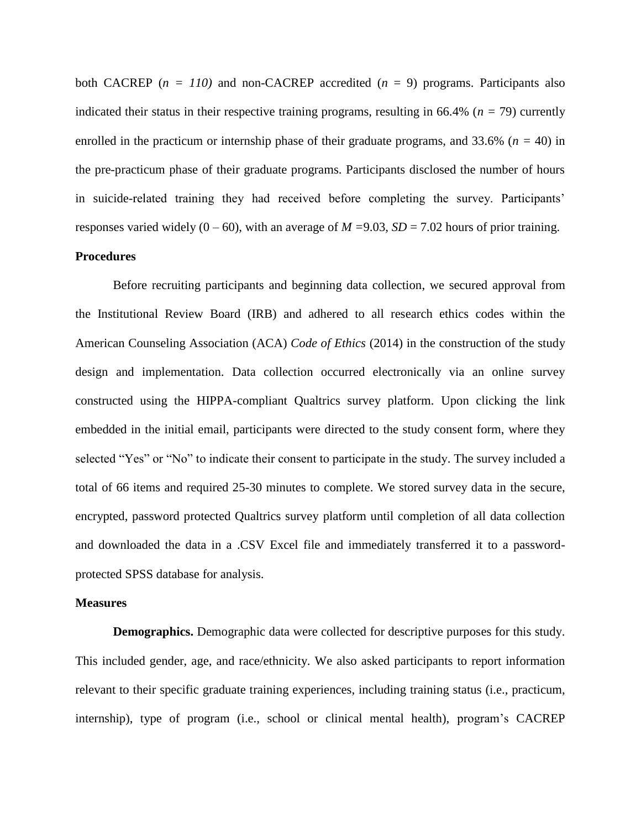both CACREP ( $n = 110$ ) and non-CACREP accredited ( $n = 9$ ) programs. Participants also indicated their status in their respective training programs, resulting in 66.4% (*n =* 79) currently enrolled in the practicum or internship phase of their graduate programs, and 33.6% (*n =* 40) in the pre-practicum phase of their graduate programs. Participants disclosed the number of hours in suicide-related training they had received before completing the survey. Participants' responses varied widely  $(0 - 60)$ , with an average of  $M = 9.03$ ,  $SD = 7.02$  hours of prior training.

# **Procedures**

Before recruiting participants and beginning data collection, we secured approval from the Institutional Review Board (IRB) and adhered to all research ethics codes within the American Counseling Association (ACA) *Code of Ethics* (2014) in the construction of the study design and implementation. Data collection occurred electronically via an online survey constructed using the HIPPA-compliant Qualtrics survey platform. Upon clicking the link embedded in the initial email, participants were directed to the study consent form, where they selected "Yes" or "No" to indicate their consent to participate in the study. The survey included a total of 66 items and required 25-30 minutes to complete. We stored survey data in the secure, encrypted, password protected Qualtrics survey platform until completion of all data collection and downloaded the data in a .CSV Excel file and immediately transferred it to a passwordprotected SPSS database for analysis.

#### **Measures**

**Demographics.** Demographic data were collected for descriptive purposes for this study. This included gender, age, and race/ethnicity. We also asked participants to report information relevant to their specific graduate training experiences, including training status (i.e., practicum, internship), type of program (i.e., school or clinical mental health), program's CACREP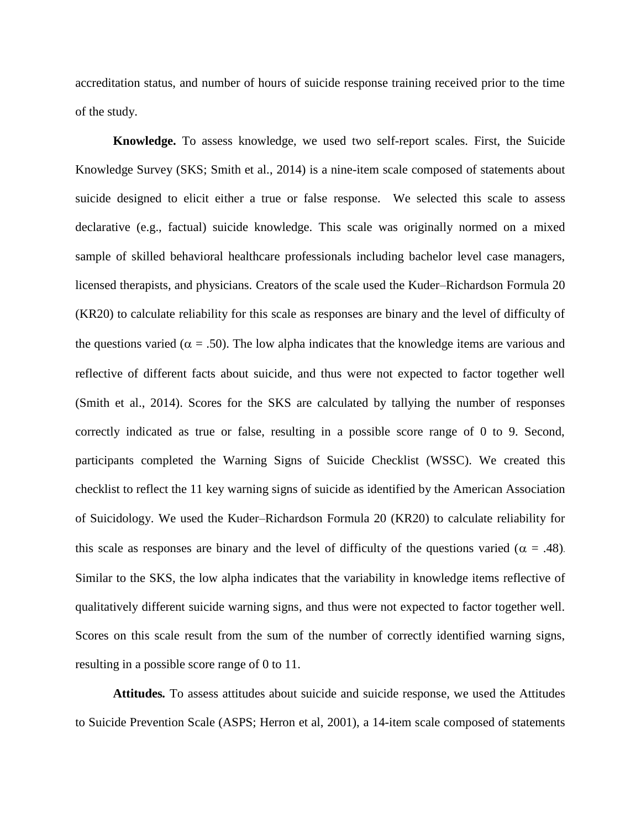accreditation status, and number of hours of suicide response training received prior to the time of the study.

**Knowledge.** To assess knowledge, we used two self-report scales. First, the Suicide Knowledge Survey (SKS; Smith et al., 2014) is a nine-item scale composed of statements about suicide designed to elicit either a true or false response. We selected this scale to assess declarative (e.g., factual) suicide knowledge. This scale was originally normed on a mixed sample of skilled behavioral healthcare professionals including bachelor level case managers, licensed therapists, and physicians. Creators of the scale used the Kuder–Richardson Formula 20 (KR20) to calculate reliability for this scale as responses are binary and the level of difficulty of the questions varied ( $\alpha = .50$ ). The low alpha indicates that the knowledge items are various and reflective of different facts about suicide, and thus were not expected to factor together well (Smith et al., 2014). Scores for the SKS are calculated by tallying the number of responses correctly indicated as true or false, resulting in a possible score range of 0 to 9. Second, participants completed the Warning Signs of Suicide Checklist (WSSC). We created this checklist to reflect the 11 key warning signs of suicide as identified by the American Association of Suicidology. We used the Kuder–Richardson Formula 20 (KR20) to calculate reliability for this scale as responses are binary and the level of difficulty of the questions varied ( $\alpha = .48$ ). Similar to the SKS, the low alpha indicates that the variability in knowledge items reflective of qualitatively different suicide warning signs, and thus were not expected to factor together well. Scores on this scale result from the sum of the number of correctly identified warning signs, resulting in a possible score range of 0 to 11.

**Attitudes***.* To assess attitudes about suicide and suicide response, we used the Attitudes to Suicide Prevention Scale (ASPS; Herron et al, 2001), a 14-item scale composed of statements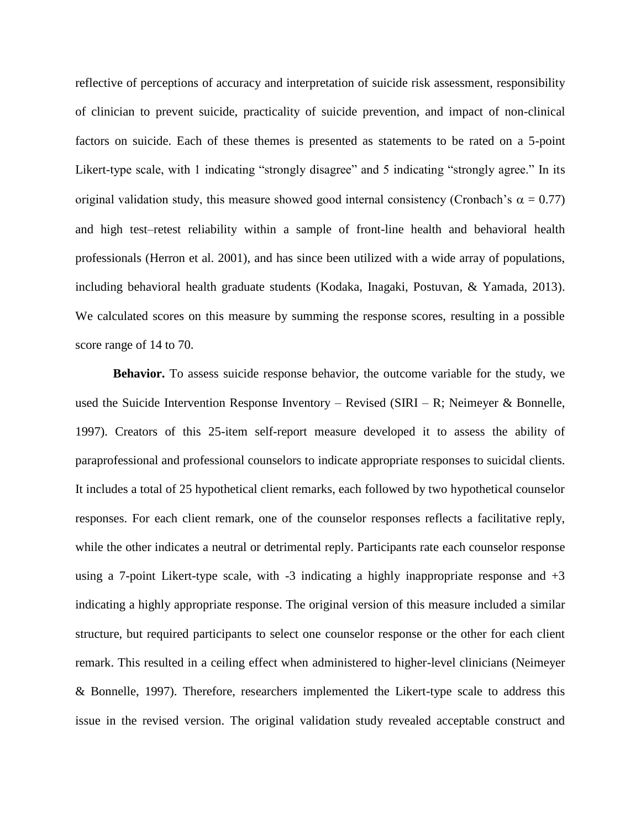reflective of perceptions of accuracy and interpretation of suicide risk assessment, responsibility of clinician to prevent suicide, practicality of suicide prevention, and impact of non-clinical factors on suicide. Each of these themes is presented as statements to be rated on a 5-point Likert-type scale, with 1 indicating "strongly disagree" and 5 indicating "strongly agree." In its original validation study, this measure showed good internal consistency (Cronbach's  $\alpha = 0.77$ ) and high test–retest reliability within a sample of front-line health and behavioral health professionals (Herron et al. 2001), and has since been utilized with a wide array of populations, including behavioral health graduate students (Kodaka, Inagaki, Postuvan, & Yamada, 2013). We calculated scores on this measure by summing the response scores, resulting in a possible score range of 14 to 70.

**Behavior.** To assess suicide response behavior, the outcome variable for the study, we used the Suicide Intervention Response Inventory – Revised (SIRI – R; Neimeyer & Bonnelle, 1997). Creators of this 25-item self-report measure developed it to assess the ability of paraprofessional and professional counselors to indicate appropriate responses to suicidal clients. It includes a total of 25 hypothetical client remarks, each followed by two hypothetical counselor responses. For each client remark, one of the counselor responses reflects a facilitative reply, while the other indicates a neutral or detrimental reply. Participants rate each counselor response using a 7-point Likert-type scale, with  $-3$  indicating a highly inappropriate response and  $+3$ indicating a highly appropriate response. The original version of this measure included a similar structure, but required participants to select one counselor response or the other for each client remark. This resulted in a ceiling effect when administered to higher-level clinicians (Neimeyer & Bonnelle, 1997). Therefore, researchers implemented the Likert-type scale to address this issue in the revised version. The original validation study revealed acceptable construct and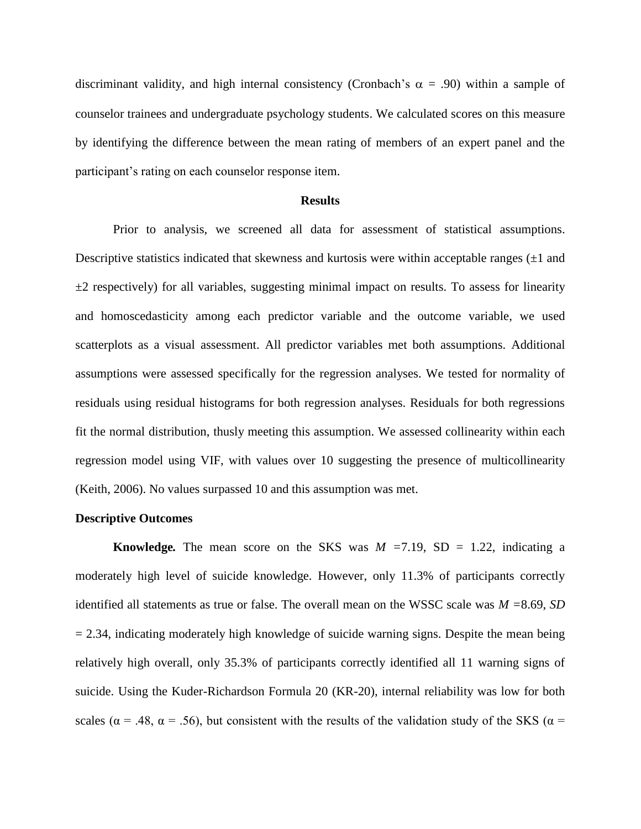discriminant validity, and high internal consistency (Cronbach's  $\alpha = .90$ ) within a sample of counselor trainees and undergraduate psychology students. We calculated scores on this measure by identifying the difference between the mean rating of members of an expert panel and the participant's rating on each counselor response item.

#### **Results**

Prior to analysis, we screened all data for assessment of statistical assumptions. Descriptive statistics indicated that skewness and kurtosis were within acceptable ranges  $(\pm 1$  and  $\pm 2$  respectively) for all variables, suggesting minimal impact on results. To assess for linearity and homoscedasticity among each predictor variable and the outcome variable, we used scatterplots as a visual assessment. All predictor variables met both assumptions. Additional assumptions were assessed specifically for the regression analyses. We tested for normality of residuals using residual histograms for both regression analyses. Residuals for both regressions fit the normal distribution, thusly meeting this assumption. We assessed collinearity within each regression model using VIF, with values over 10 suggesting the presence of multicollinearity (Keith, 2006). No values surpassed 10 and this assumption was met.

# **Descriptive Outcomes**

**Knowledge.** The mean score on the SKS was  $M = 7.19$ , SD = 1.22, indicating a moderately high level of suicide knowledge. However, only 11.3% of participants correctly identified all statements as true or false. The overall mean on the WSSC scale was *M =*8.69, *SD*  $= 2.34$ , indicating moderately high knowledge of suicide warning signs. Despite the mean being relatively high overall, only 35.3% of participants correctly identified all 11 warning signs of suicide. Using the Kuder-Richardson Formula 20 (KR-20), internal reliability was low for both scales ( $\alpha$  = .48,  $\alpha$  = .56), but consistent with the results of the validation study of the SKS ( $\alpha$  =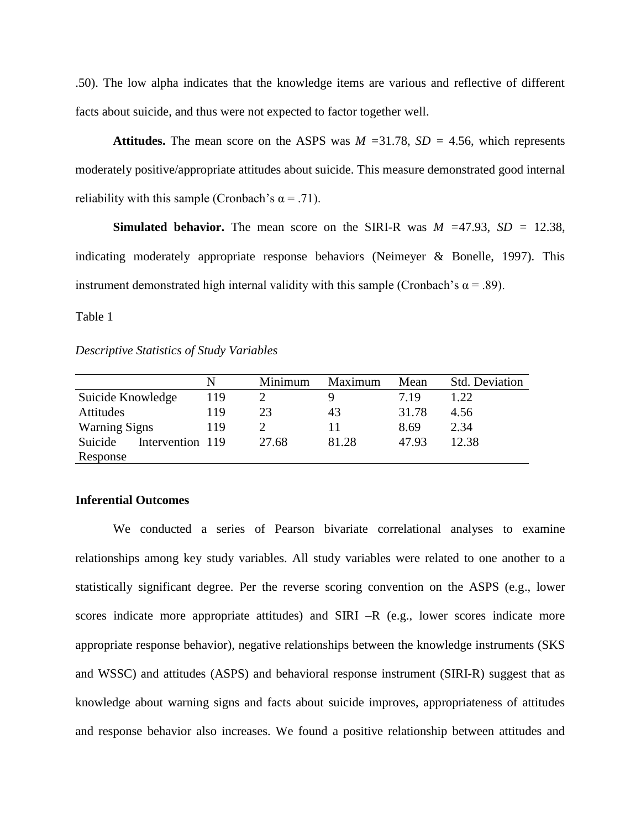.50). The low alpha indicates that the knowledge items are various and reflective of different facts about suicide, and thus were not expected to factor together well.

**Attitudes.** The mean score on the ASPS was *M =*31.78, *SD =* 4.56, which represents moderately positive/appropriate attitudes about suicide. This measure demonstrated good internal reliability with this sample (Cronbach's  $\alpha$  = .71).

**Simulated behavior.** The mean score on the SIRI-R was  $M = 47.93$ ,  $SD = 12.38$ , indicating moderately appropriate response behaviors (Neimeyer & Bonelle, 1997). This instrument demonstrated high internal validity with this sample (Cronbach's  $\alpha$  = .89).

Table 1

*Descriptive Statistics of Study Variables*

|                      | N                | Minimum | Maximum | Mean  | <b>Std. Deviation</b> |
|----------------------|------------------|---------|---------|-------|-----------------------|
| Suicide Knowledge    | 119              |         | Q       | 7.19  | 1.22                  |
| Attitudes            | 119              | 23      | 43      | 31.78 | 4.56                  |
| <b>Warning Signs</b> | 119              |         |         | 8.69  | 2.34                  |
| Suicide              | Intervention 119 | 27.68   | 81.28   | 47.93 | 12.38                 |
| Response             |                  |         |         |       |                       |

## **Inferential Outcomes**

We conducted a series of Pearson bivariate correlational analyses to examine relationships among key study variables. All study variables were related to one another to a statistically significant degree. Per the reverse scoring convention on the ASPS (e.g., lower scores indicate more appropriate attitudes) and SIRI –R (e.g., lower scores indicate more appropriate response behavior), negative relationships between the knowledge instruments (SKS and WSSC) and attitudes (ASPS) and behavioral response instrument (SIRI-R) suggest that as knowledge about warning signs and facts about suicide improves, appropriateness of attitudes and response behavior also increases. We found a positive relationship between attitudes and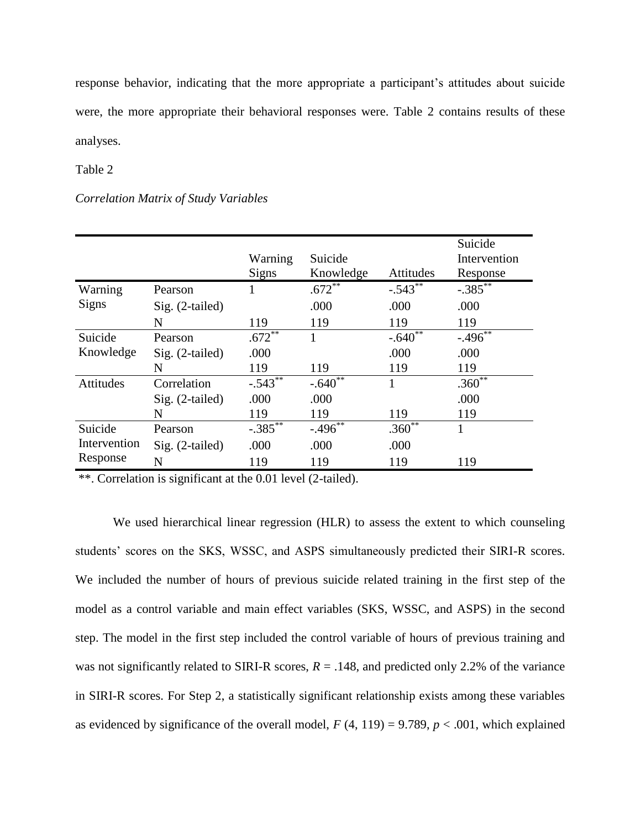response behavior, indicating that the more appropriate a participant's attitudes about suicide were, the more appropriate their behavioral responses were. Table 2 contains results of these analyses.

Table 2

### *Correlation Matrix of Study Variables*

|                                     |                   | Warning      | Suicide                 |            | Suicide<br>Intervention |
|-------------------------------------|-------------------|--------------|-------------------------|------------|-------------------------|
|                                     |                   | <b>Signs</b> | Knowledge               | Attitudes  | Response                |
| Warning<br><b>Signs</b>             | Pearson           |              | $.672$ <sup>**</sup>    | $-.543***$ | $-.385***$              |
|                                     | $Sig. (2-tailed)$ |              | .000                    | .000       | .000                    |
|                                     | N                 | 119          | 119                     | 119        | 119                     |
| Suicide<br>Knowledge                | Pearson           | $.672***$    | 1                       | $-.640**$  | $-.496***$              |
|                                     | $Sig. (2-tailed)$ | .000         |                         | .000       | .000                    |
|                                     | N                 | 119          | 119                     | 119        | 119                     |
| Attitudes                           | Correlation       | $-.543$      | $-.640^{\overline{**}}$ | 1          | $.360^{\overline{**}}$  |
|                                     | $Sig. (2-tailed)$ | .000         | .000                    |            | .000                    |
|                                     | N                 | 119          | 119                     | 119        | 119                     |
| Suicide<br>Intervention<br>Response | Pearson           | $-.385***$   | $-.496^{**}$            | $.360**$   | 1                       |
|                                     | $Sig. (2-tailed)$ | .000         | .000                    | .000       |                         |
|                                     | N                 | 119          | 119                     | 119        | 119                     |

\*\*. Correlation is significant at the 0.01 level (2-tailed).

We used hierarchical linear regression (HLR) to assess the extent to which counseling students' scores on the SKS, WSSC, and ASPS simultaneously predicted their SIRI-R scores. We included the number of hours of previous suicide related training in the first step of the model as a control variable and main effect variables (SKS, WSSC, and ASPS) in the second step. The model in the first step included the control variable of hours of previous training and was not significantly related to SIRI-R scores,  $R = .148$ , and predicted only 2.2% of the variance in SIRI-R scores. For Step 2, a statistically significant relationship exists among these variables as evidenced by significance of the overall model,  $F(4, 119) = 9.789$ ,  $p < .001$ , which explained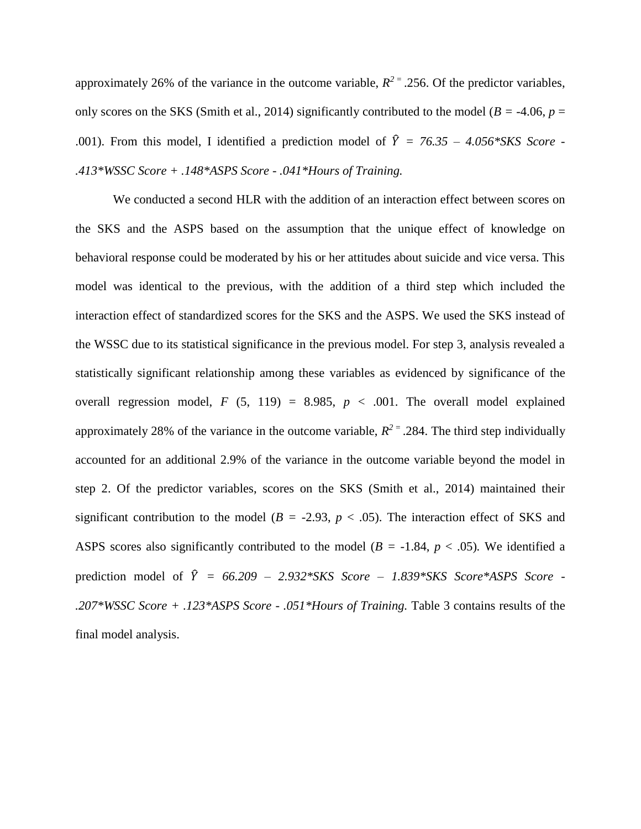approximately 26% of the variance in the outcome variable,  $R^2 = 0.256$ . Of the predictor variables, only scores on the SKS (Smith et al., 2014) significantly contributed to the model ( $B = -4.06$ ,  $p =$ .001). From this model, I identified a prediction model of  $\hat{Y} = 76.35 - 4.056*SKS$  Score -*.413\*WSSC Score + .148\*ASPS Score - .041\*Hours of Training.*

We conducted a second HLR with the addition of an interaction effect between scores on the SKS and the ASPS based on the assumption that the unique effect of knowledge on behavioral response could be moderated by his or her attitudes about suicide and vice versa. This model was identical to the previous, with the addition of a third step which included the interaction effect of standardized scores for the SKS and the ASPS. We used the SKS instead of the WSSC due to its statistical significance in the previous model. For step 3, analysis revealed a statistically significant relationship among these variables as evidenced by significance of the overall regression model,  $F(5, 119) = 8.985$ ,  $p < .001$ . The overall model explained approximately 28% of the variance in the outcome variable,  $R^2$ <sup> $=$ </sup> .284. The third step individually accounted for an additional 2.9% of the variance in the outcome variable beyond the model in step 2. Of the predictor variables, scores on the SKS (Smith et al., 2014) maintained their significant contribution to the model ( $B = -2.93$ ,  $p < .05$ ). The interaction effect of SKS and ASPS scores also significantly contributed to the model ( $B = -1.84$ ,  $p < .05$ ). We identified a prediction model of  $\hat{Y} = 66.209 - 2.932*SKS$  *Score* – *1.839\*SKS Score\*ASPS Score* -*.207\*WSSC Score + .123\*ASPS Score - .051\*Hours of Training.* Table 3 contains results of the final model analysis.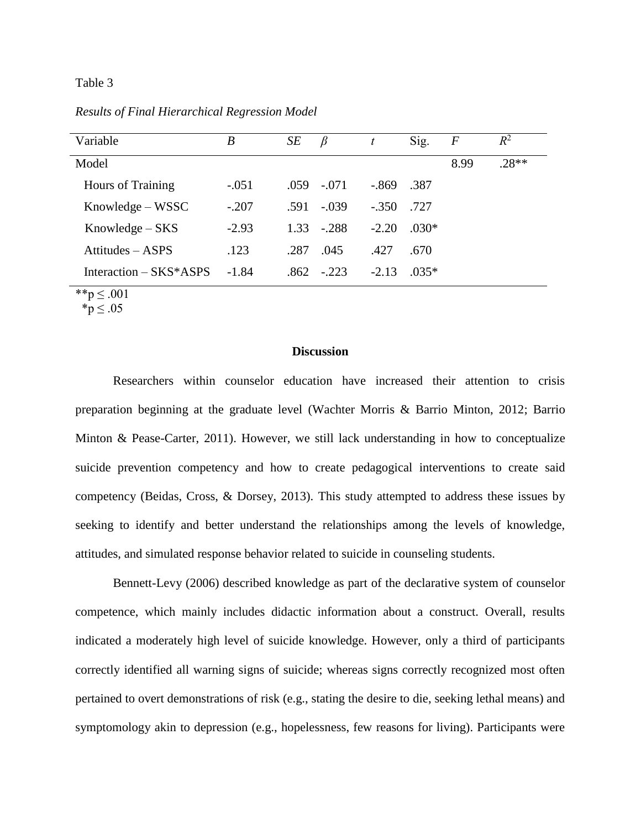### Table 3

*Results of Final Hierarchical Regression Model*

| Variable                 | B       | SE   | $\beta$      |         | Sig.    | $\boldsymbol{F}$ | $R^2$   |
|--------------------------|---------|------|--------------|---------|---------|------------------|---------|
| Model                    |         |      |              |         |         | 8.99             | $.28**$ |
| <b>Hours of Training</b> | $-.051$ |      | $.059-.071$  | -.869   | .387    |                  |         |
| Knowledge – WSSC         | $-.207$ | .591 | $-.039$      | $-.350$ | .727    |                  |         |
| $Knowledge-SKS$          | $-2.93$ |      | $1.33 - 288$ | $-2.20$ | $.030*$ |                  |         |
| Attitudes – ASPS         | .123    | .287 | .045         | .427    | .670    |                  |         |
| Interaction - SKS*ASPS   | $-1.84$ | .862 | $-223$       | $-2.13$ | $.035*$ |                  |         |

\*\*p ≤ .001

\*p ≤ .05

# **Discussion**

Researchers within counselor education have increased their attention to crisis preparation beginning at the graduate level (Wachter Morris & Barrio Minton, 2012; Barrio Minton & Pease-Carter, 2011). However, we still lack understanding in how to conceptualize suicide prevention competency and how to create pedagogical interventions to create said competency (Beidas, Cross, & Dorsey, 2013). This study attempted to address these issues by seeking to identify and better understand the relationships among the levels of knowledge, attitudes, and simulated response behavior related to suicide in counseling students.

Bennett-Levy (2006) described knowledge as part of the declarative system of counselor competence, which mainly includes didactic information about a construct. Overall, results indicated a moderately high level of suicide knowledge. However, only a third of participants correctly identified all warning signs of suicide; whereas signs correctly recognized most often pertained to overt demonstrations of risk (e.g., stating the desire to die, seeking lethal means) and symptomology akin to depression (e.g., hopelessness, few reasons for living). Participants were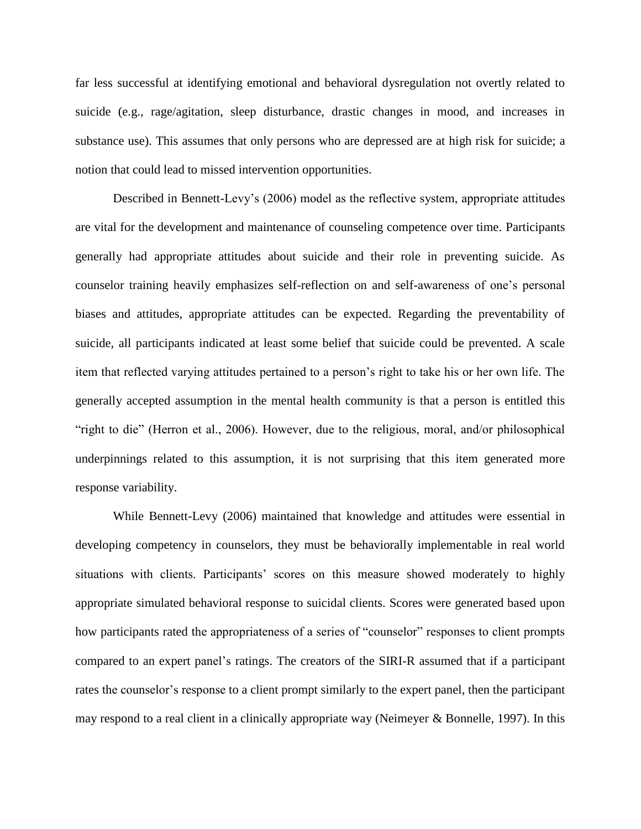far less successful at identifying emotional and behavioral dysregulation not overtly related to suicide (e.g., rage/agitation, sleep disturbance, drastic changes in mood, and increases in substance use). This assumes that only persons who are depressed are at high risk for suicide; a notion that could lead to missed intervention opportunities.

Described in Bennett-Levy's (2006) model as the reflective system, appropriate attitudes are vital for the development and maintenance of counseling competence over time. Participants generally had appropriate attitudes about suicide and their role in preventing suicide. As counselor training heavily emphasizes self-reflection on and self-awareness of one's personal biases and attitudes, appropriate attitudes can be expected. Regarding the preventability of suicide, all participants indicated at least some belief that suicide could be prevented. A scale item that reflected varying attitudes pertained to a person's right to take his or her own life. The generally accepted assumption in the mental health community is that a person is entitled this "right to die" (Herron et al., 2006). However, due to the religious, moral, and/or philosophical underpinnings related to this assumption, it is not surprising that this item generated more response variability.

While Bennett-Levy (2006) maintained that knowledge and attitudes were essential in developing competency in counselors, they must be behaviorally implementable in real world situations with clients. Participants' scores on this measure showed moderately to highly appropriate simulated behavioral response to suicidal clients. Scores were generated based upon how participants rated the appropriateness of a series of "counselor" responses to client prompts compared to an expert panel's ratings. The creators of the SIRI-R assumed that if a participant rates the counselor's response to a client prompt similarly to the expert panel, then the participant may respond to a real client in a clinically appropriate way (Neimeyer & Bonnelle, 1997). In this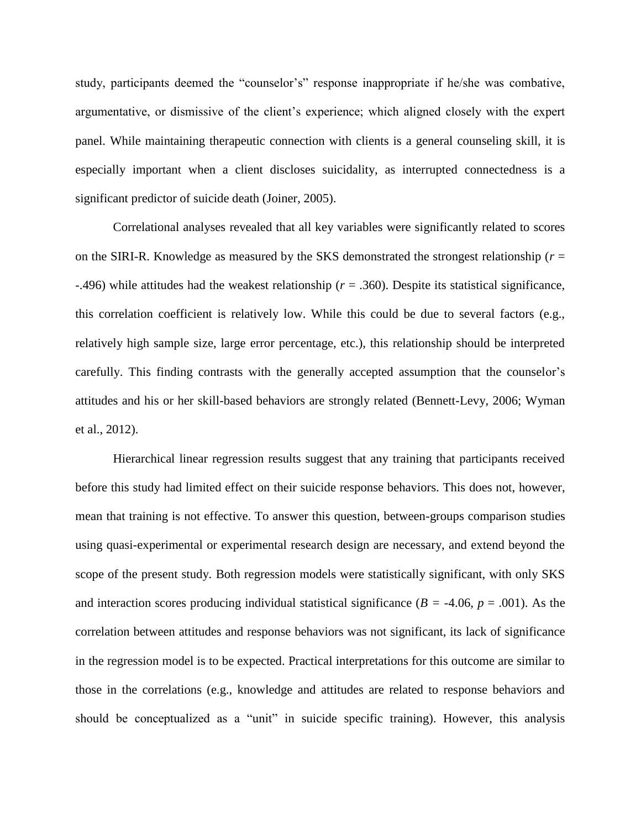study, participants deemed the "counselor's" response inappropriate if he/she was combative, argumentative, or dismissive of the client's experience; which aligned closely with the expert panel. While maintaining therapeutic connection with clients is a general counseling skill, it is especially important when a client discloses suicidality, as interrupted connectedness is a significant predictor of suicide death (Joiner, 2005).

Correlational analyses revealed that all key variables were significantly related to scores on the SIRI-R. Knowledge as measured by the SKS demonstrated the strongest relationship (*r* = -.496) while attitudes had the weakest relationship (*r* = .360). Despite its statistical significance, this correlation coefficient is relatively low. While this could be due to several factors (e.g., relatively high sample size, large error percentage, etc.), this relationship should be interpreted carefully. This finding contrasts with the generally accepted assumption that the counselor's attitudes and his or her skill-based behaviors are strongly related (Bennett-Levy, 2006; Wyman et al., 2012).

Hierarchical linear regression results suggest that any training that participants received before this study had limited effect on their suicide response behaviors. This does not, however, mean that training is not effective. To answer this question, between-groups comparison studies using quasi-experimental or experimental research design are necessary, and extend beyond the scope of the present study. Both regression models were statistically significant, with only SKS and interaction scores producing individual statistical significance ( $B = -4.06$ ,  $p = .001$ ). As the correlation between attitudes and response behaviors was not significant, its lack of significance in the regression model is to be expected. Practical interpretations for this outcome are similar to those in the correlations (e.g., knowledge and attitudes are related to response behaviors and should be conceptualized as a "unit" in suicide specific training). However, this analysis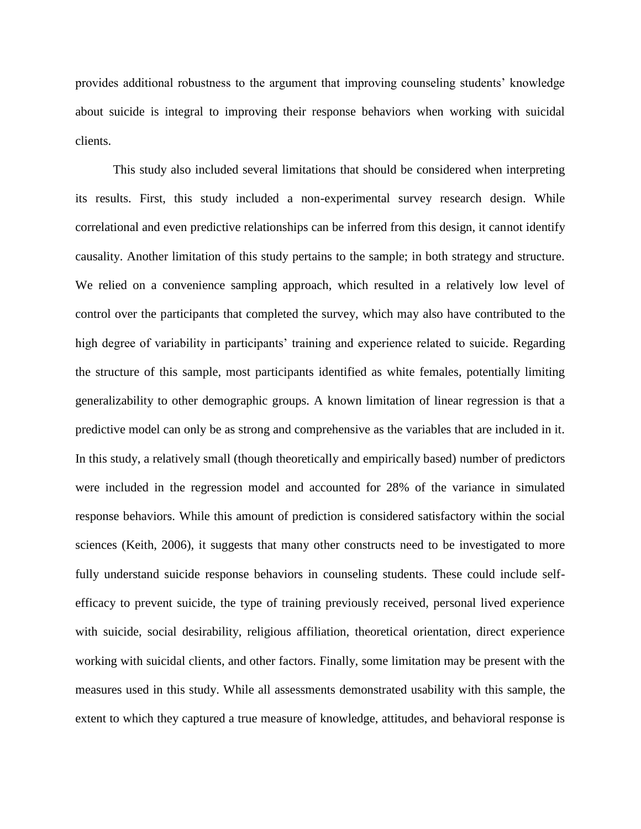provides additional robustness to the argument that improving counseling students' knowledge about suicide is integral to improving their response behaviors when working with suicidal clients.

This study also included several limitations that should be considered when interpreting its results. First, this study included a non-experimental survey research design. While correlational and even predictive relationships can be inferred from this design, it cannot identify causality. Another limitation of this study pertains to the sample; in both strategy and structure. We relied on a convenience sampling approach, which resulted in a relatively low level of control over the participants that completed the survey, which may also have contributed to the high degree of variability in participants' training and experience related to suicide. Regarding the structure of this sample, most participants identified as white females, potentially limiting generalizability to other demographic groups. A known limitation of linear regression is that a predictive model can only be as strong and comprehensive as the variables that are included in it. In this study, a relatively small (though theoretically and empirically based) number of predictors were included in the regression model and accounted for 28% of the variance in simulated response behaviors. While this amount of prediction is considered satisfactory within the social sciences (Keith, 2006), it suggests that many other constructs need to be investigated to more fully understand suicide response behaviors in counseling students. These could include selfefficacy to prevent suicide, the type of training previously received, personal lived experience with suicide, social desirability, religious affiliation, theoretical orientation, direct experience working with suicidal clients, and other factors. Finally, some limitation may be present with the measures used in this study. While all assessments demonstrated usability with this sample, the extent to which they captured a true measure of knowledge, attitudes, and behavioral response is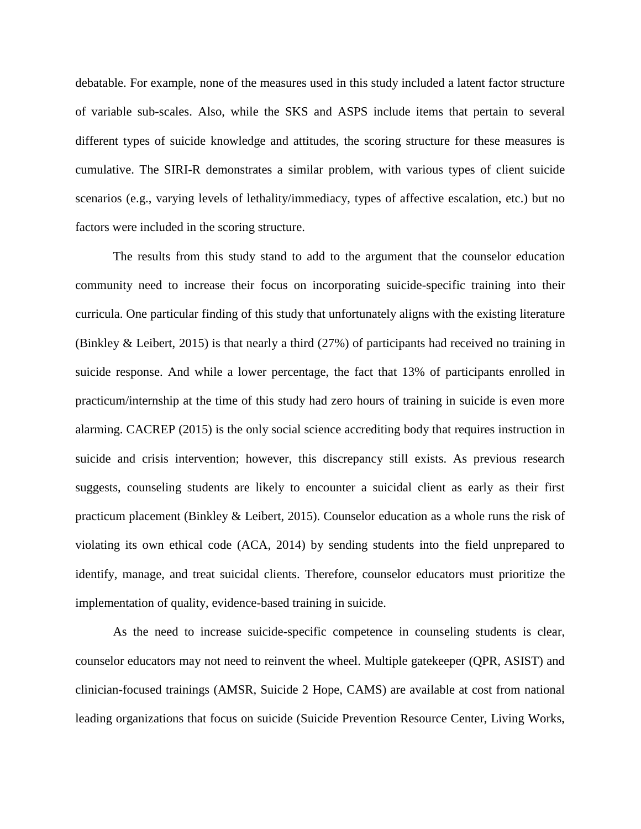debatable. For example, none of the measures used in this study included a latent factor structure of variable sub-scales. Also, while the SKS and ASPS include items that pertain to several different types of suicide knowledge and attitudes, the scoring structure for these measures is cumulative. The SIRI-R demonstrates a similar problem, with various types of client suicide scenarios (e.g., varying levels of lethality/immediacy, types of affective escalation, etc.) but no factors were included in the scoring structure.

The results from this study stand to add to the argument that the counselor education community need to increase their focus on incorporating suicide-specific training into their curricula. One particular finding of this study that unfortunately aligns with the existing literature (Binkley & Leibert, 2015) is that nearly a third (27%) of participants had received no training in suicide response. And while a lower percentage, the fact that 13% of participants enrolled in practicum/internship at the time of this study had zero hours of training in suicide is even more alarming. CACREP (2015) is the only social science accrediting body that requires instruction in suicide and crisis intervention; however, this discrepancy still exists. As previous research suggests, counseling students are likely to encounter a suicidal client as early as their first practicum placement (Binkley & Leibert, 2015). Counselor education as a whole runs the risk of violating its own ethical code (ACA, 2014) by sending students into the field unprepared to identify, manage, and treat suicidal clients. Therefore, counselor educators must prioritize the implementation of quality, evidence-based training in suicide.

As the need to increase suicide-specific competence in counseling students is clear, counselor educators may not need to reinvent the wheel. Multiple gatekeeper (QPR, ASIST) and clinician-focused trainings (AMSR, Suicide 2 Hope, CAMS) are available at cost from national leading organizations that focus on suicide (Suicide Prevention Resource Center, Living Works,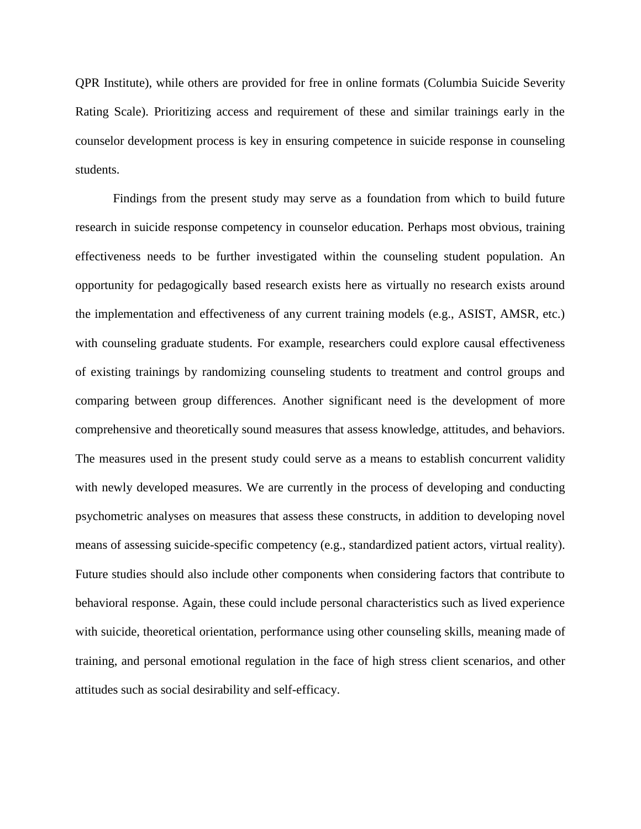QPR Institute), while others are provided for free in online formats (Columbia Suicide Severity Rating Scale). Prioritizing access and requirement of these and similar trainings early in the counselor development process is key in ensuring competence in suicide response in counseling students.

Findings from the present study may serve as a foundation from which to build future research in suicide response competency in counselor education. Perhaps most obvious, training effectiveness needs to be further investigated within the counseling student population. An opportunity for pedagogically based research exists here as virtually no research exists around the implementation and effectiveness of any current training models (e.g., ASIST, AMSR, etc.) with counseling graduate students. For example, researchers could explore causal effectiveness of existing trainings by randomizing counseling students to treatment and control groups and comparing between group differences. Another significant need is the development of more comprehensive and theoretically sound measures that assess knowledge, attitudes, and behaviors. The measures used in the present study could serve as a means to establish concurrent validity with newly developed measures. We are currently in the process of developing and conducting psychometric analyses on measures that assess these constructs, in addition to developing novel means of assessing suicide-specific competency (e.g., standardized patient actors, virtual reality). Future studies should also include other components when considering factors that contribute to behavioral response. Again, these could include personal characteristics such as lived experience with suicide, theoretical orientation, performance using other counseling skills, meaning made of training, and personal emotional regulation in the face of high stress client scenarios, and other attitudes such as social desirability and self-efficacy.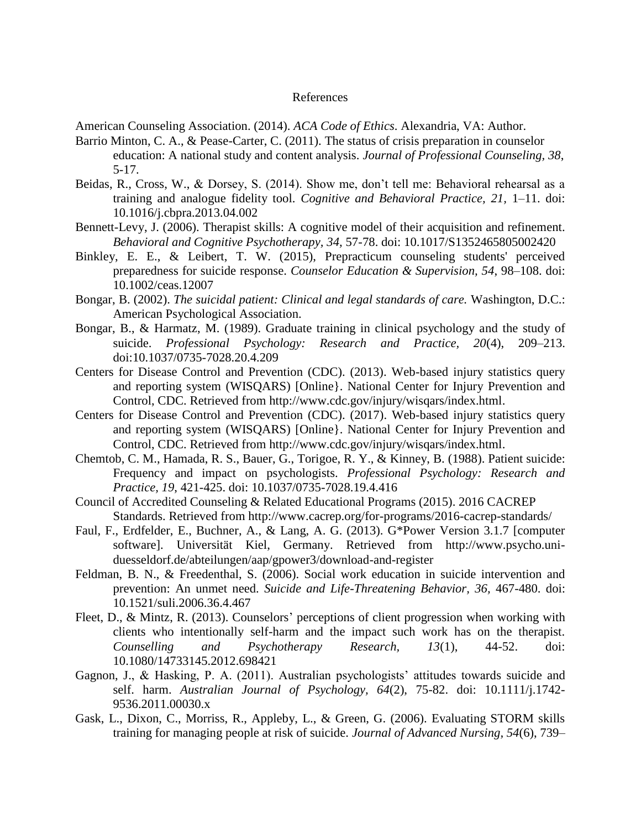## References

American Counseling Association. (2014). *ACA Code of Ethics*. Alexandria, VA: Author.

- Barrio Minton, C. A., & Pease-Carter, C. (2011). The status of crisis preparation in counselor education: A national study and content analysis. *Journal of Professional Counseling, 38*, 5-17.
- Beidas, R., Cross, W., & Dorsey, S. (2014). Show me, don't tell me: Behavioral rehearsal as a training and analogue fidelity tool. *Cognitive and Behavioral Practice, 21,* 1–11. doi: 10.1016/j.cbpra.2013.04.002
- Bennett-Levy, J. (2006). Therapist skills: A cognitive model of their acquisition and refinement. *Behavioral and Cognitive Psychotherapy, 34,* 57-78. doi: 10.1017/S1352465805002420
- Binkley, E. E., & Leibert, T. W. (2015), Prepracticum counseling students' perceived preparedness for suicide response. *Counselor Education & Supervision, 54*, 98–108. doi: 10.1002/ceas.12007
- Bongar, B. (2002). *The suicidal patient: Clinical and legal standards of care.* Washington, D.C.: American Psychological Association.
- Bongar, B., & Harmatz, M. (1989). Graduate training in clinical psychology and the study of suicide. *Professional Psychology: Research and Practice, 20*(4), 209–213. doi:10.1037/0735-7028.20.4.209
- Centers for Disease Control and Prevention (CDC). (2013). Web-based injury statistics query and reporting system (WISQARS) [Online}. National Center for Injury Prevention and Control, CDC. Retrieved from http://www.cdc.gov/injury/wisqars/index.html.
- Centers for Disease Control and Prevention (CDC). (2017). Web-based injury statistics query and reporting system (WISQARS) [Online}. National Center for Injury Prevention and Control, CDC. Retrieved from http://www.cdc.gov/injury/wisqars/index.html.
- Chemtob, C. M., Hamada, R. S., Bauer, G., Torigoe, R. Y., & Kinney, B. (1988). Patient suicide: Frequency and impact on psychologists. *Professional Psychology: Research and Practice, 19*, 421-425. doi: 10.1037/0735-7028.19.4.416
- Council of Accredited Counseling & Related Educational Programs (2015). 2016 CACREP Standards. Retrieved from http://www.cacrep.org/for-programs/2016-cacrep-standards/
- Faul, F., Erdfelder, E., Buchner, A., & Lang, A. G. (2013). G\*Power Version 3.1.7 [computer software]. Universität Kiel, Germany. Retrieved from http://www.psycho.uniduesseldorf.de/abteilungen/aap/gpower3/download-and-register
- Feldman, B. N., & Freedenthal, S. (2006). Social work education in suicide intervention and prevention: An unmet need. *Suicide and Life-Threatening Behavior, 36,* 467-480. doi: 10.1521/suli.2006.36.4.467
- Fleet, D., & Mintz, R. (2013). Counselors' perceptions of client progression when working with clients who intentionally self-harm and the impact such work has on the therapist. *Counselling and Psychotherapy Research, 13*(1), 44-52. doi: 10.1080/14733145.2012.698421
- Gagnon, J., & Hasking, P. A. (2011). Australian psychologists' attitudes towards suicide and self. harm. *Australian Journal of Psychology, 64*(2), 75-82. doi: 10.1111/j.1742- 9536.2011.00030.x
- Gask, L., Dixon, C., Morriss, R., Appleby, L., & Green, G. (2006). Evaluating STORM skills training for managing people at risk of suicide. *Journal of Advanced Nursing, 54*(6), 739–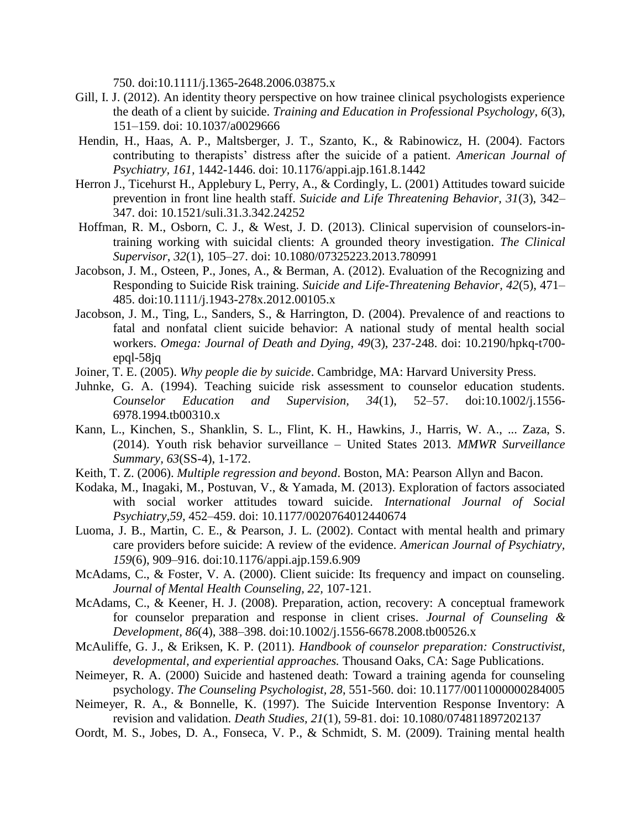750. doi:10.1111/j.1365-2648.2006.03875.x

- Gill, I. J. (2012). An identity theory perspective on how trainee clinical psychologists experience the death of a client by suicide. *Training and Education in Professional Psychology*, *6*(3), 151–159. doi: 10.1037/a0029666
- Hendin, H., Haas, A. P., Maltsberger, J. T., Szanto, K., & Rabinowicz, H. (2004). Factors contributing to therapists' distress after the suicide of a patient. *American Journal of Psychiatry, 161,* 1442-1446. doi: 10.1176/appi.ajp.161.8.1442
- Herron J., Ticehurst H., Applebury L, Perry, A., & Cordingly, L. (2001) Attitudes toward suicide prevention in front line health staff. *Suicide and Life Threatening Behavior, 31*(3), 342– 347. doi: 10.1521/suli.31.3.342.24252
- Hoffman, R. M., Osborn, C. J., & West, J. D. (2013). Clinical supervision of counselors-intraining working with suicidal clients: A grounded theory investigation. *The Clinical Supervisor*, *32*(1), 105–27. doi: 10.1080/07325223.2013.780991
- Jacobson, J. M., Osteen, P., Jones, A., & Berman, A. (2012). Evaluation of the Recognizing and Responding to Suicide Risk training. *Suicide and Life-Threatening Behavior, 42*(5), 471– 485. doi:10.1111/j.1943-278x.2012.00105.x
- Jacobson, J. M., Ting, L., Sanders, S., & Harrington, D. (2004). Prevalence of and reactions to fatal and nonfatal client suicide behavior: A national study of mental health social workers. *Omega: Journal of Death and Dying, 49*(3), 237-248. doi: 10.2190/hpkq-t700 epql-58jq
- Joiner, T. E. (2005). *Why people die by suicide*. Cambridge, MA: Harvard University Press.
- Juhnke, G. A. (1994). Teaching suicide risk assessment to counselor education students. *Counselor Education and Supervision, 34*(1), 52–57. doi:10.1002/j.1556- 6978.1994.tb00310.x
- Kann, L., Kinchen, S., Shanklin, S. L., Flint, K. H., Hawkins, J., Harris, W. A., ... Zaza, S. (2014). Youth risk behavior surveillance – United States 2013. *MMWR Surveillance Summary, 63*(SS-4), 1-172.
- Keith, T. Z. (2006). *Multiple regression and beyond*. Boston, MA: Pearson Allyn and Bacon.
- Kodaka, M., Inagaki, M., Postuvan, V., & Yamada, M. (2013). Exploration of factors associated with social worker attitudes toward suicide. *International Journal of Social Psychiatry,59,* 452–459. doi: 10.1177/0020764012440674
- Luoma, J. B., Martin, C. E., & Pearson, J. L. (2002). Contact with mental health and primary care providers before suicide: A review of the evidence. *American Journal of Psychiatry, 159*(6), 909–916. doi:10.1176/appi.ajp.159.6.909
- McAdams, C., & Foster, V. A. (2000). Client suicide: Its frequency and impact on counseling. *Journal of Mental Health Counseling, 22,* 107-121.
- McAdams, C., & Keener, H. J. (2008). Preparation, action, recovery: A conceptual framework for counselor preparation and response in client crises. *Journal of Counseling & Development, 86*(4), 388–398. doi:10.1002/j.1556-6678.2008.tb00526.x
- McAuliffe, G. J., & Eriksen, K. P. (2011). *Handbook of counselor preparation: Constructivist, developmental, and experiential approaches.* Thousand Oaks, CA: Sage Publications.
- Neimeyer, R. A. (2000) Suicide and hastened death: Toward a training agenda for counseling psychology. *The Counseling Psychologist, 28*, 551-560. doi: 10.1177/0011000000284005
- Neimeyer, R. A., & Bonnelle, K. (1997). The Suicide Intervention Response Inventory: A revision and validation. *Death Studies, 21*(1), 59-81. doi: 10.1080/074811897202137
- Oordt, M. S., Jobes, D. A., Fonseca, V. P., & Schmidt, S. M. (2009). Training mental health